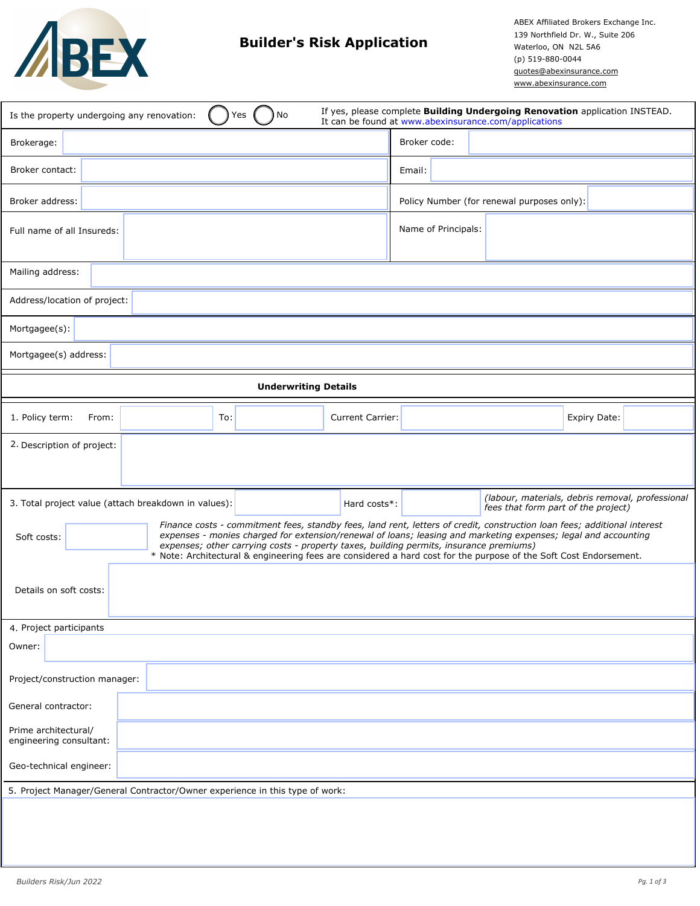

## **Builder's Risk Application**

ABEX Affiliated Brokers Exchange Inc. 139 Northfield Dr. W., Suite 206 Waterloo, ON N2L 5A6 (p) 519-880-0044 quotes@abexinsurance.com www.abexinsurance.com

| Is the property undergoing any renovation:                                   |     | No<br>Yes                                                                                                                                                                                                                                                                                                                                                                                                                                                 |                         |                     | If yes, please complete Building Undergoing Renovation application INSTEAD.<br>It can be found at www.abexinsurance.com/applications |              |  |
|------------------------------------------------------------------------------|-----|-----------------------------------------------------------------------------------------------------------------------------------------------------------------------------------------------------------------------------------------------------------------------------------------------------------------------------------------------------------------------------------------------------------------------------------------------------------|-------------------------|---------------------|--------------------------------------------------------------------------------------------------------------------------------------|--------------|--|
| Brokerage:                                                                   |     |                                                                                                                                                                                                                                                                                                                                                                                                                                                           |                         | Broker code:        |                                                                                                                                      |              |  |
| Broker contact:                                                              |     |                                                                                                                                                                                                                                                                                                                                                                                                                                                           |                         | Email:              |                                                                                                                                      |              |  |
| Broker address:                                                              |     |                                                                                                                                                                                                                                                                                                                                                                                                                                                           |                         |                     | Policy Number (for renewal purposes only):                                                                                           |              |  |
| Full name of all Insureds:                                                   |     |                                                                                                                                                                                                                                                                                                                                                                                                                                                           |                         | Name of Principals: |                                                                                                                                      |              |  |
| Mailing address:                                                             |     |                                                                                                                                                                                                                                                                                                                                                                                                                                                           |                         |                     |                                                                                                                                      |              |  |
| Address/location of project:                                                 |     |                                                                                                                                                                                                                                                                                                                                                                                                                                                           |                         |                     |                                                                                                                                      |              |  |
| Mortgagee(s):                                                                |     |                                                                                                                                                                                                                                                                                                                                                                                                                                                           |                         |                     |                                                                                                                                      |              |  |
| Mortgagee(s) address:                                                        |     |                                                                                                                                                                                                                                                                                                                                                                                                                                                           |                         |                     |                                                                                                                                      |              |  |
|                                                                              |     | <b>Underwriting Details</b>                                                                                                                                                                                                                                                                                                                                                                                                                               |                         |                     |                                                                                                                                      |              |  |
| 1. Policy term:<br>From:                                                     | To: |                                                                                                                                                                                                                                                                                                                                                                                                                                                           | <b>Current Carrier:</b> |                     |                                                                                                                                      | Expiry Date: |  |
| 2. Description of project:                                                   |     |                                                                                                                                                                                                                                                                                                                                                                                                                                                           |                         |                     |                                                                                                                                      |              |  |
| 3. Total project value (attach breakdown in values):<br>Soft costs:          |     | Finance costs - commitment fees, standby fees, land rent, letters of credit, construction loan fees; additional interest<br>expenses - monies charged for extension/renewal of loans; leasing and marketing expenses; legal and accounting<br>expenses; other carrying costs - property taxes, building permits, insurance premiums)<br>* Note: Architectural & engineering fees are considered a hard cost for the purpose of the Soft Cost Endorsement. | Hard costs*:            |                     | (labour, materials, debris removal, professional<br>fees that form part of the project)                                              |              |  |
| Details on soft costs:                                                       |     |                                                                                                                                                                                                                                                                                                                                                                                                                                                           |                         |                     |                                                                                                                                      |              |  |
| 4. Project participants                                                      |     |                                                                                                                                                                                                                                                                                                                                                                                                                                                           |                         |                     |                                                                                                                                      |              |  |
| Owner:                                                                       |     |                                                                                                                                                                                                                                                                                                                                                                                                                                                           |                         |                     |                                                                                                                                      |              |  |
| Project/construction manager:                                                |     |                                                                                                                                                                                                                                                                                                                                                                                                                                                           |                         |                     |                                                                                                                                      |              |  |
| General contractor:                                                          |     |                                                                                                                                                                                                                                                                                                                                                                                                                                                           |                         |                     |                                                                                                                                      |              |  |
| Prime architectural/<br>engineering consultant:                              |     |                                                                                                                                                                                                                                                                                                                                                                                                                                                           |                         |                     |                                                                                                                                      |              |  |
| Geo-technical engineer:                                                      |     |                                                                                                                                                                                                                                                                                                                                                                                                                                                           |                         |                     |                                                                                                                                      |              |  |
| 5. Project Manager/General Contractor/Owner experience in this type of work: |     |                                                                                                                                                                                                                                                                                                                                                                                                                                                           |                         |                     |                                                                                                                                      |              |  |
|                                                                              |     |                                                                                                                                                                                                                                                                                                                                                                                                                                                           |                         |                     |                                                                                                                                      |              |  |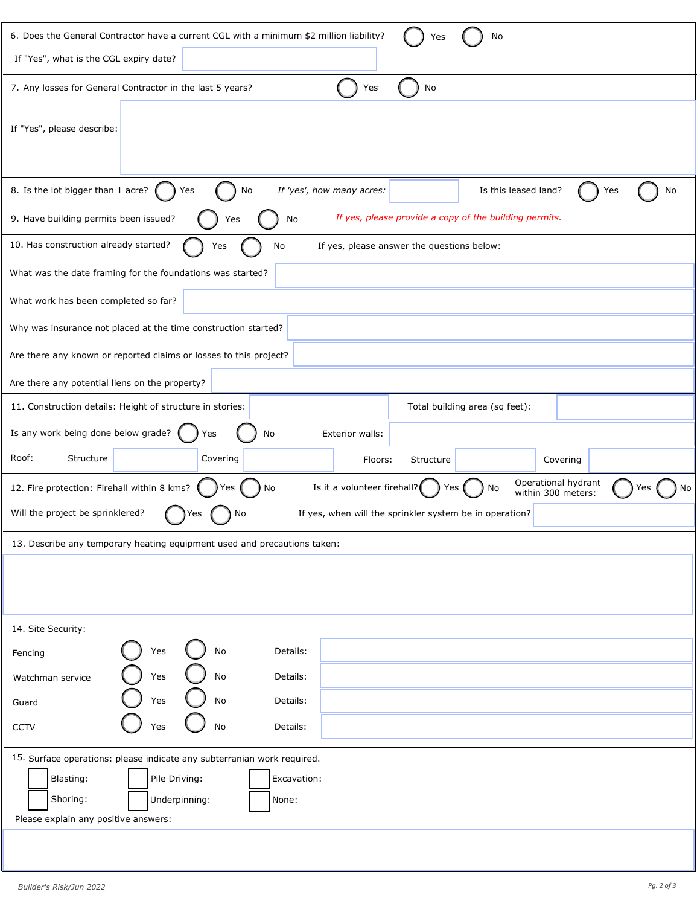| 6. Does the General Contractor have a current CGL with a minimum \$2 million liability?<br>No<br>Yes                                                           |
|----------------------------------------------------------------------------------------------------------------------------------------------------------------|
| If "Yes", what is the CGL expiry date?                                                                                                                         |
| 7. Any losses for General Contractor in the last 5 years?<br>No<br>Yes                                                                                         |
| If "Yes", please describe:                                                                                                                                     |
| 8. Is the lot bigger than 1 acre?<br>Yes<br>If 'yes', how many acres:<br>Is this leased land?<br>No<br>No<br>Yes                                               |
| If yes, please provide a copy of the building permits.<br>9. Have building permits been issued?<br>No<br>Yes                                                   |
| 10. Has construction already started?<br>If yes, please answer the questions below:<br>No<br>Yes                                                               |
| What was the date framing for the foundations was started?                                                                                                     |
| What work has been completed so far?                                                                                                                           |
| Why was insurance not placed at the time construction started?                                                                                                 |
| Are there any known or reported claims or losses to this project?                                                                                              |
| Are there any potential liens on the property?                                                                                                                 |
| 11. Construction details: Height of structure in stories:<br>Total building area (sq feet):                                                                    |
| Is any work being done below grade?<br>No<br><b>Exterior walls:</b><br>Yes                                                                                     |
| Roof:<br>Structure<br>Covering<br>Floors:<br>Structure<br>Covering                                                                                             |
| Operational hydrant<br>Is it a volunteer firehall?<br>12. Fire protection: Firehall within 8 kms?<br>No<br>No<br>Yes<br>Yes<br>No<br>Yes<br>within 300 meters: |
| Will the project be sprinklered?<br>If yes, when will the sprinkler system be in operation?<br>No<br>'es                                                       |
| 13. Describe any temporary heating equipment used and precautions taken:                                                                                       |
|                                                                                                                                                                |
|                                                                                                                                                                |
|                                                                                                                                                                |
| 14. Site Security:                                                                                                                                             |
| $\operatorname{\mathsf{No}}$<br>Details:<br>Yes<br>Fencing                                                                                                     |
| Yes<br>No<br>Details:<br>Watchman service                                                                                                                      |
| $\operatorname{\mathsf{No}}$<br>Yes<br>Details:<br>Guard                                                                                                       |
| No<br>Yes<br>Details:<br><b>CCTV</b>                                                                                                                           |
| 15. Surface operations: please indicate any subterranian work required.                                                                                        |
| Blasting:<br>Pile Driving:<br>Excavation:                                                                                                                      |
| Shoring:<br>Underpinning:<br>None:                                                                                                                             |
| Please explain any positive answers:                                                                                                                           |
|                                                                                                                                                                |